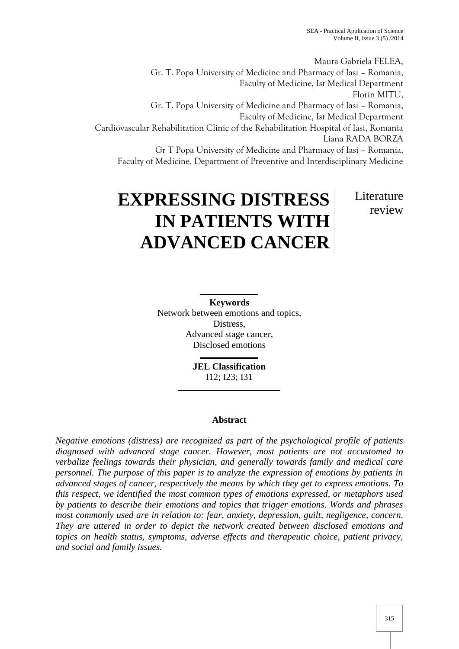Maura Gabriela FELEA, Gr. T. Popa University of Medicine and Pharmacy of Iasi – Romania, Faculty of Medicine, Ist Medical Department Florin MITU, Gr. T. Popa University of Medicine and Pharmacy of Iasi – Romania, Faculty of Medicine, Ist Medical Department Cardiovascular Rehabilitation Clinic of the Rehabilitation Hospital of Iasi, Romania Liana RADA BORZA Gr T Popa University of Medicine and Pharmacy of Iasi – Romania, Faculty of Medicine, Department of Preventive and Interdisciplinary Medicine

# **EXPRESSING DISTRESS IN PATIENTS WITH ADVANCED CANCER** Literature review

**Keywords** Network between emotions and topics, Distress, Advanced stage cancer, Disclosed emotions

> **JEL Classification** I12; I23; I31

## **Abstract**

*Negative emotions (distress) are recognized as part of the psychological profile of patients diagnosed with advanced stage cancer. However, most patients are not accustomed to verbalize feelings towards their physician, and generally towards family and medical care personnel. The purpose of this paper is to analyze the expression of emotions by patients in advanced stages of cancer, respectively the means by which they get to express emotions. To this respect, we identified the most common types of emotions expressed, or metaphors used by patients to describe their emotions and topics that trigger emotions. Words and phrases most commonly used are in relation to: fear, anxiety, depression, guilt, negligence, concern. They are uttered in order to depict the network created between disclosed emotions and topics on health status, symptoms, adverse effects and therapeutic choice, patient privacy, and social and family issues.*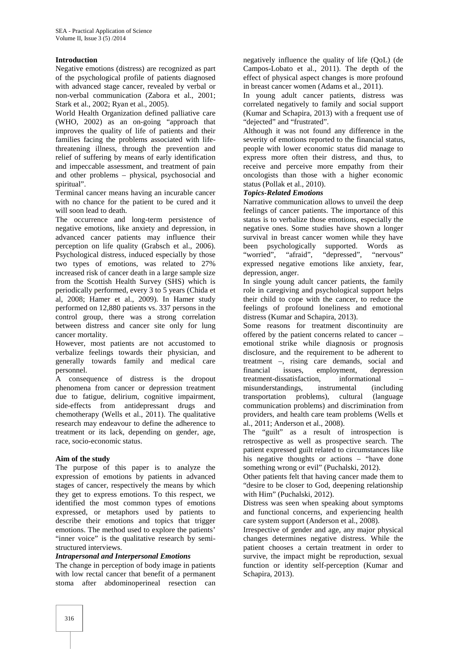## **Introduction**

Negative emotions (distress) are recognized as part of the psychological profile of patients diagnosed with advanced stage cancer, revealed by verbal or non-verbal communication (Zabora et al., 2001; Stark et al., 2002; Ryan et al., 2005).

World Health Organization defined palliative care (WHO, 2002) as an on-going "approach that improves the quality of life of patients and their families facing the problems associated with lifethreatening illness, through the prevention and relief of suffering by means of early identification and impeccable assessment, and treatment of pain and other problems – physical, psychosocial and spiritual".

Terminal cancer means having an incurable cancer with no chance for the patient to be cured and it will soon lead to death.

The occurrence and long-term persistence of negative emotions, like anxiety and depression, in advanced cancer patients may influence their perception on life quality (Grabsch et al., 2006). Psychological distress, induced especially by those two types of emotions, was related to 27% increased risk of cancer death in a large sample size from the Scottish Health Survey (SHS) which is periodically performed, every 3 to 5 years (Chida et al, 2008; Hamer et al., 2009). In Hamer study performed on 12,880 patients vs. 337 persons in the control group, there was a strong correlation between distress and cancer site only for lung cancer mortality.

However, most patients are not accustomed to verbalize feelings towards their physician, and generally towards family and medical care personnel.

A consequence of distress is the dropout phenomena from cancer or depression treatment due to fatigue, delirium, cognitive impairment, side-effects from antidepressant drugs and chemotherapy (Wells et al., 2011). The qualitative research may endeavour to define the adherence to treatment or its lack, depending on gender, age, race, socio-economic status.

## **Aim of the study**

The purpose of this paper is to analyze the expression of emotions by patients in advanced stages of cancer, respectively the means by which they get to express emotions. To this respect, we identified the most common types of emotions expressed, or metaphors used by patients to describe their emotions and topics that trigger emotions. The method used to explore the patients' "inner voice" is the qualitative research by semi structured interviews.

#### *Intrapersonal and Interpersonal Emotions*

The change in perception of body image in patients with low rectal cancer that benefit of a permanent stoma after abdominoperineal resection can

negatively influence the quality of life (QoL) (de Campos-Lobato et al., 2011). The depth of the effect of physical aspect changes is more profound in breast cancer women (Adams et al., 2011).

In young adult cancer patients, distress was correlated negatively to family and social support (Kumar and Schapira, 2013) with a frequent use of "dejected" and "frustrated".

Although it was not found any difference in the severity of emotions reported to the financial status, people with lower economic status did manage to express more often their distress, and thus, to receive and perceive more empathy from their oncologists than those with a higher economic status (Pollak et al., 2010).

#### *Topics-Related Emotions*

Narrative communication allows to unveil the deep feelings of cancer patients. The importance of this status is to verbalize those emotions, especially the negative ones. Some studies have shown a longer survival in breast cancer women while they have been psychologically supported. Words as "worried", "afraid", "depressed", "nervous" "worried", "afraid", expressed negative emotions like anxiety, fear, depression, anger.

In single young adult cancer patients, the family role in caregiving and psychological support helps their child to cope with the cancer, to reduce the feelings of profound loneliness and emotional distress (Kumar and Schapira, 2013).

Some reasons for treatment discontinuity are offered by the patient concerns related to cancer – emotional strike while diagnosis or prognosis disclosure, and the requirement to be adherent to treatment –, rising care demands, social and financial issues, employment, depression treatment-dissatisfaction. informational misunderstandings, instrumental (including transportation problems), cultural (language communication problems) and discrimination from providers, and health care team problems (Wells et al., 2011; Anderson et al., 2008).

The "guilt" as a result of introspection is retrospective as well as prospective search. The patient expressed guilt related to circumstances like his negative thoughts or actions – "have done something wrong or evil" (Puchalski, 2012).

Other patients felt that having cancer made them to "desire to be closer to God, deepening relationship with Him" (Puchalski, 2012).

Distress was seen when speaking about symptoms and functional concerns, and experiencing health care system support (Anderson et al., 2008).

Irrespective of gender and age, any major physical changes determines negative distress. While the patient chooses a certain treatment in order to survive, the impact might be reproduction, sexual function or identity self-perception (Kumar and Schapira, 2013).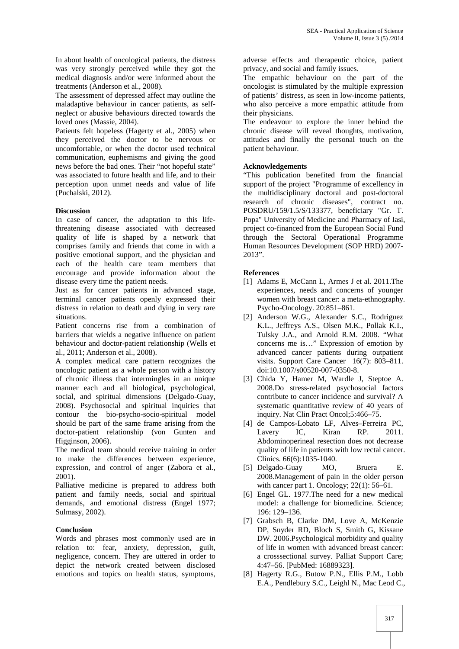In about health of oncological patients, the distress was very strongly perceived while they got the medical diagnosis and/or were informed about the treatments (Anderson et al., 2008).

The assessment of depressed affect may outline the maladaptive behaviour in cancer patients, as self neglect or abusive behaviours directed towards the loved ones (Massie, 2004).

Patients felt hopeless (Hagerty et al., 2005) when they perceived the doctor to be nervous or uncomfortable, or when the doctor used technical communication, euphemisms and giving the good news before the bad ones. Their "not hopeful state" was associated to future health and life, and to their perception upon unmet needs and value of life (Puchalski, 2012).

## **Discussion**

In case of cancer, the adaptation to this lifethreatening disease associated with decreased quality of life is shaped by a network that comprises family and friends that come in with a positive emotional support, and the physician and each of the health care team members that encourage and provide information about the disease every time the patient needs.

Just as for cancer patients in advanced stage, terminal cancer patients openly expressed their distress in relation to death and dying in very rare situations.

Patient concerns rise from a combination of barriers that wields a negative influence on patient behaviour and doctor-patient relationship (Wells et al., 2011; Anderson et al., 2008).

A complex medical care pattern recognizes the oncologic patient as a whole person with a history of chronic illness that intermingles in an unique manner each and all biological, psychological, social, and spiritual dimensions (Delgado-Guay, 2008). Psychosocial and spiritual inquiries that contour the bio-psycho-socio-spiritual model should be part of the same frame arising from the doctor-patient relationship (von Gunten and Higginson, 2006).

The medical team should receive training in order to make the differences between experience, expression, and control of anger (Zabora et al., 2001).

Palliative medicine is prepared to address both patient and family needs, social and spiritual demands, and emotional distress (Engel 1977; Sulmasy, 2002).

## **Conclusion**

Words and phrases most commonly used are in relation to: fear, anxiety, depression, guilt, negligence, concern. They are uttered in order to depict the network created between disclosed emotions and topics on health status, symptoms,

adverse effects and therapeutic choice, patient privacy, and social and family issues.

The empathic behaviour on the part of the oncologist is stimulated by the multiple expression of patients' distress, as seen in low-income patients, who also perceive a more empathic attitude from their physicians.

The endeavour to explore the inner behind the chronic disease will reveal thoughts, motivation, attitudes and finally the personal touch on the patient behaviour.

## **Acknowledgements**

"This publication benefited from the financial support of the project "Programme of excellency in the multidisciplinary doctoral and post-doctoral research of chronic diseases", contract no. POSDRU/159/1.5/S/133377, beneficiary "Gr. T. Popa" University of Medicine and Pharmacy of Iasi, project co-financed from the European Social Fund through the Sectoral Operational Programme Human Resources Development (SOP HRD) 2007- 2013".

## **References**

- [1] Adams E, McCann L, Armes J et al. 2011.The experiences, needs and concerns of younger women with breast cancer: a meta-ethnography. Psycho-Oncology. 20:851–861.
- [2] Anderson W.G., Alexander S.C., Rodriguez K.L., Jeffreys A.S., Olsen M.K., Pollak K.I., Tulsky J.A., and Arnold R.M. 2008. "What concerns me is…" Expression of emotion by advanced cancer patients during outpatient visits. Support Care Cancer 16(7): 803–811. doi:10.1007/s00520-007-0350-8.
- [3] Chida Y, Hamer M, Wardle J, Steptoe A. 2008.Do stress-related psychosocial factors contribute to cancer incidence and survival? A systematic quantitative review of 40 years of inquiry. Nat Clin Pract Oncol;5:466–75.
- [4] de Campos-Lobato LF, Alves–Ferreira PC, Lavery IC, Kiran RP. 2011. Abdominoperineal resection does not decrease quality of life in patients with low rectal cancer. Clinics. 66(6):1035-1040.
- [5] Delgado-Guay MO, Bruera E. 2008.Management of pain in the older person with cancer part 1. Oncology; 22(1): 56–61.
- [6] Engel GL. 1977.The need for a new medical model: a challenge for biomedicine. Science; 196: 129–136.
- [7] Grabsch B, Clarke DM, Love A, McKenzie DP, Snyder RD, Bloch S, Smith G, Kissane DW. 2006.Psychological morbidity and quality of life in women with advanced breast cancer: a crosssectional survey. Palliat Support Care; 4:47–56. [PubMed: 16889323].
- [8] Hagerty R.G., Butow P.N., Ellis P.M., Lobb E.A., Pendlebury S.C., Leighl N., Mac Leod C.,